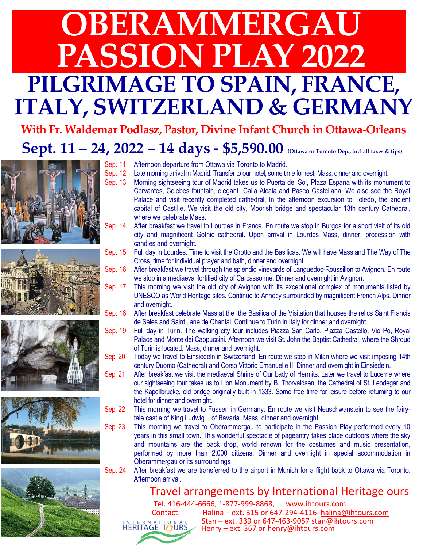# **OBERAMMERGAU PASSION PLAY 2022 PILGRIMAGE TO SPAIN, FRANCE, ITALY, SWITZERLAND & GERMANY**

**With Fr. Waldemar Podlasz, Pastor, Divine Infant Church in Ottawa-Orleans** 

# **Sept. 11 – 24, 2022 – 14 days - \$5,590.00 (Ottawa or Toronto Dep., incl all taxes & tips)**











- Sep. 11 Afternoon departure from Ottawa via Toronto to Madrid.
- Sep. 12 Late morning arrival in Madrid. Transfer to our hotel, some time for rest, Mass, dinner and overnight.
- Sep. 13 Morning sightseeing tour of Madrid takes us to Puerta del Sol, Plaza Espana with its monument to Cervantes, Celebes fountain, elegant Calla Alcala and Paseo Castellana. We also see the Royal Palace and visit recently completed cathedral. In the afternoon excursion to Toledo, the ancient capital of Castille. We visit the old city, Moorish bridge and spectacular 13th century Cathedral, where we celebrate Mass.
- Sep. 14 After breakfast we travel to Lourdes in France. En route we stop in Burgos for a short visit of its old city and magnificent Gothic cathedral. Upon arrival in Lourdes Mass, dinner, procession with candles and overnight.
- Sep. 15 Full day in Lourdes. Time to visit the Grotto and the Basilicas. We will have Mass and The Way of The Cross, time for individual prayer and bath, dinner and overnight.
- Sep. 16 After breakfast we travel through the splendid vineyards of Languedoc-Roussillon to Avignon. En route we stop in a mediaeval fortified city of Carcassonne. Dinner and overnight in Avignon.
- Sep. 17 This morning we visit the old city of Avignon with its exceptional complex of monuments listed by UNESCO as World Heritage sites. Continue to Annecy surrounded by magnificent French Alps. Dinner and overnight.
- Sep. 18 After breakfast celebrate Mass at the the Basilica of the Visitation that houses the relics Saint Francis de Sales and Saint Jane de Chantal. Continue to Turin in Italy for dinner and overnight.
- Sep. 19 Full day in Turin. The walking city tour includes Piazza San Carlo, Piazza Castello, Vio Po, Royal Palace and Monte dei Cappuccini. Afternoon we visit St. John the Baptist Cathedral, where the Shroud of Turin is located. Mass, dinner and overnight.
- Sep. 20 Today we travel to Einsiedeln in Switzerland. En route we stop in Milan where we visit imposing 14th century Duomo (Cathedral) and Corso Vittorio Emanuelle II. Dinner and overnight in Einsiedeln.
- Sep. 21 After breakfast we visit the mediaeval Shrine of Our Lady of Hermits. Later we travel to Lucerne where our sightseeing tour takes us to Lion Monument by B. Thorvaldsen, the Cathedral of St. Leodegar and the Kapellbrucke, old bridge originally built in 1333. Some free time for leisure before returning to our hotel for dinner and overnight.
- Sep. 22 This morning we travel to Fussen in Germany. En route we visit Neuschwanstein to see the fairytale castle of King Ludwig II of Bavaria. Mass, dinner and overnight.
- Sep. 23 This morning we travel to Oberammergau to participate in the Passion Play performed every 10 years in this small town. This wonderful spectacle of pageantry takes place outdoors where the sky and mountains are the back drop, world renown for the costumes and music presentation, performed by more than 2,000 citizens. Dinner and overnight in special accommodation in Oberammergau or its surroundings
- Sep. 24 After breakfast we are transferred to the airport in Munich for a flight back to Ottawa via Toronto. Afternoon arrival.

# Travel arrangements by International Heritage ours

Tel. 416-444-6666, 1-877-999-8868, www.ihtours.com<br>Contact: Halina – ext. 315 or 647-294-4116 halina@

Halina – ext. 315 or 647-294-4116 [halina@ihtours.com](mailto:halina@ihtours.com) HERFERNATTONAL Stan – ext. 339 or 647-463-9057 [stan@ihtours.com](mailto:stan@ihtours.com) Henry – ext. 367 or [henry@ihtours.com](mailto:henry@ihtopurs.com)